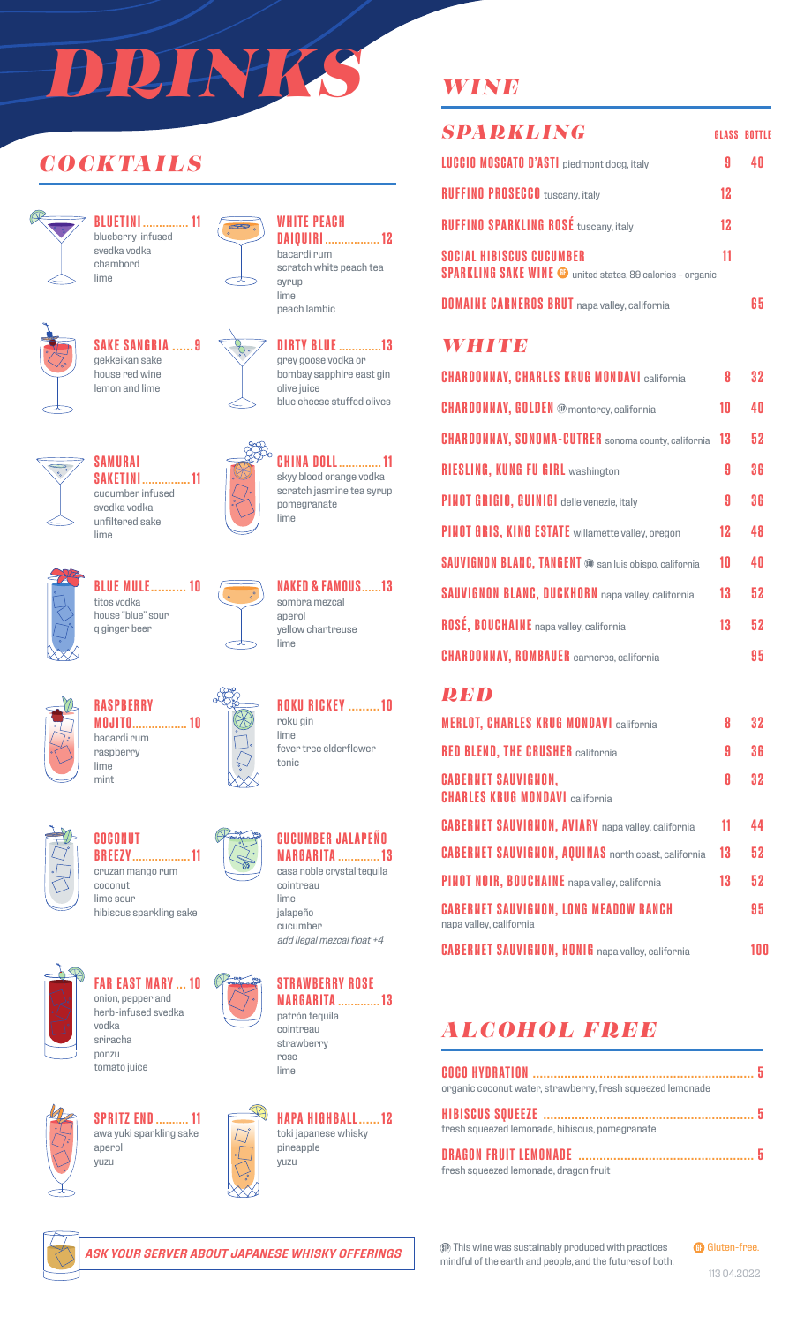# *DRINKS*

## *COCKTAILS*



**BLUETINI .............. 11** blueberry-infused svedka vodka chambord lime



## **SAKE SANGRIA ......9**

gekkeikan sake house red wine lemon and lime



#### **WHITE PEACH DAIQUIRI ................. 12** bacardi rum

scratch white peach tea syrup lime peach lambic



grey goose vodka or bombay sapphire east gin olive juice blue cheese stuffed olives

**CHINA DOLL............. 11** skyy blood orange vodka scratch jasmine tea syrup

**NAKED & FAMOUS......13**

**ROKU RICKEY .........10**

fever tree elderflower

pomegranate lime

sombra mezcal aperol

lime

roku gin lime

tonic

yellow chartreuse



**SAKETINI............... 11** cucumber infused svedka vodka unfiltered sake lime



**BLUE MULE.......... 10** titos vodka house "blue" sour q ginger beer



**RASPBERRY MOJITO................. 10** bacardi rum raspberry lime mint



**COCONUT BREEZY.................. 11** cruzan mango rum coconut lime sour

hibiscus sparkling sake



**FAR EAST MARY ... 10** onion, pepper and herb-infused svedka vodka sriracha

ponzu tomato juice



**SPRITZ END.......... 11** awa yuki sparkling sake aperol yuzu











toki japanese whisky pineapple yuzu

## *WINE*

| <b>SPARKLING</b>                                                                                     |    | <b>GLASS BOTTLE</b> |
|------------------------------------------------------------------------------------------------------|----|---------------------|
| <b>LUCCIO MOSCATO D'ASTI</b> piedmont docg, italy                                                    |    |                     |
| <b>RUFFINO PROSECCO</b> tuscany, italy                                                               | 12 |                     |
| <b>RUFFINO SPARKLING ROSÉ tuscany, italy</b>                                                         | 12 |                     |
| <b>SOCIAL HIBISCUS CUCUMBER</b><br><b>SPARKLING SAKE WINE @</b> united states, 89 calories - organic | 11 |                     |
| <b>DOMAINE CARNEROS BRUT</b> napa valley, california                                                 |    |                     |

## *WHITE*

| <b>CHARDONNAY, CHARLES KRUG MONDAVI california</b>            | Я  | 32 |
|---------------------------------------------------------------|----|----|
| <b>CHARDONNAY, GOLDEN ®</b> monterey, california              | 10 | 40 |
| <b>CHARDONNAY, SONOMA-CUTRER</b> sonoma county, california    | 13 | 52 |
| <b>RIESLING, KUNG FU GIRL washington</b>                      | 9  | 36 |
| PINOT GRIGIO, GUINIGI delle venezie, italy                    | 9  | 36 |
| PINOT GRIS, KING ESTATE willamette valley, oregon             | 12 | 48 |
| <b>SAUVIGNON BLANC, TANGENT @ san luis obispo, california</b> | 10 | 40 |
| <b>SAUVIGNON BLANC, DUCKHORN</b> napa valley, california      | 13 | 52 |
| ROSÉ, BOUCHAINE napa valley, california                       | 13 | 52 |
| <b>CHARDONNAY, ROMBAUER</b> carneros, california              |    | 95 |

#### *RED*

| <b>MERLOT, CHARLES KRUG MONDAVI california</b>                          | 8  | 32  |
|-------------------------------------------------------------------------|----|-----|
| <b>RED BLEND, THE CRUSHER california</b>                                | 9  | 36  |
| <b>CABERNET SAUVIGNON.</b><br><b>CHARLES KRUG MONDAVI california</b>    | 8  | 32  |
| <b>CABERNET SAUVIGNON, AVIARY</b> napa valley, california               | 11 | 44  |
| <b>CABERNET SAUVIGNON, AQUINAS</b> north coast, california              | 13 | 52  |
| PINOT NOIR, BOUCHAINE napa valley, california                           | 13 | 52  |
| <b>CABERNET SAUVIGNON, LONG MEADOW RANCH</b><br>napa valley, california |    | 95  |
| <b>CABERNET SAUVIGNON, HONIG</b> napa valley, california                |    | 100 |

## *ALCOHOL FREE*

| organic coconut water, strawberry, fresh squeezed lemonade |  |
|------------------------------------------------------------|--|
|                                                            |  |
| fresh squeezed lemonade, hibiscus, pomegranate             |  |
|                                                            |  |
| fresh squeezed lemonade, dragon fruit                      |  |



*ASK YOUR SERVER ABOUT JAPANESE WHISKY OFFERINGS*

This wine was sustainably produced with practices mindful of the earth and people, and the futures of both.